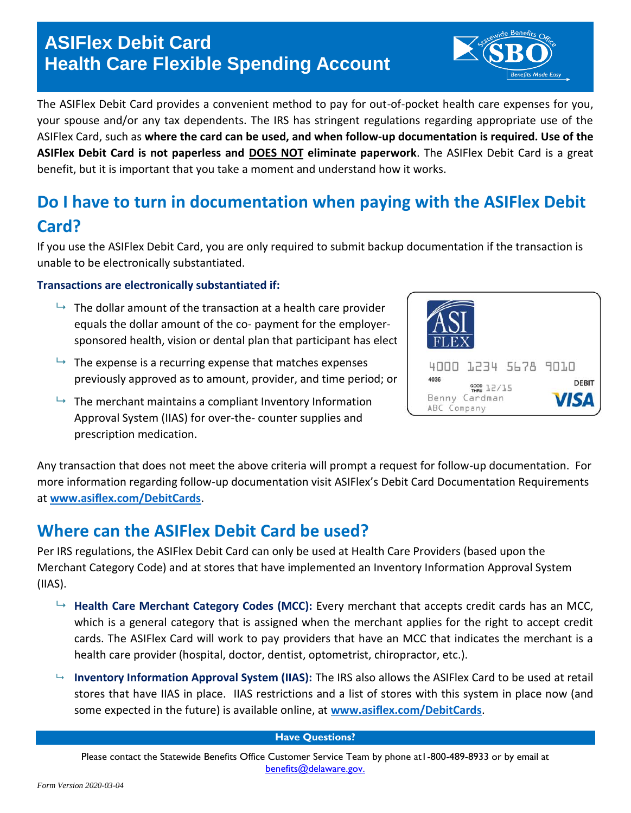# **ASIFlex Debit Card Health Care Flexible Spending Account**



The ASIFlex Debit Card provides a convenient method to pay for out-of-pocket health care expenses for you, your spouse and/or any tax dependents. The IRS has stringent regulations regarding appropriate use of the ASIFlex Card, such as **where the card can be used, and when follow-up documentation is required. Use of the ASIFlex Debit Card is not paperless and DOES NOT eliminate paperwork**. The ASIFlex Debit Card is a great benefit, but it is important that you take a moment and understand how it works.

# **Do I have to turn in documentation when paying with the ASIFlex Debit Card?**

If you use the ASIFlex Debit Card, you are only required to submit backup documentation if the transaction is unable to be electronically substantiated.

### **Transactions are electronically substantiated if:**

- $\rightarrow$  The dollar amount of the transaction at a health care provider equals the dollar amount of the co- payment for the employersponsored health, vision or dental plan that participant has elect
- $\rightarrow$  The expense is a recurring expense that matches expenses previously approved as to amount, provider, and time period; or
- $\rightarrow$  The merchant maintains a compliant Inventory Information Approval System (IIAS) for over-the- counter supplies and prescription medication.



Any transaction that does not meet the above criteria will prompt a request for follow-up documentation. For more information regarding follow-up documentation visit ASIFlex's Debit Card Documentation Requirements at **[www.asiflex.com/DebitCards](http://www.asiflex.com/DebitCards.aspx)**.

## **Where can the ASIFlex Debit Card be used?**

Per IRS regulations, the ASIFlex Debit Card can only be used at Health Care Providers (based upon the Merchant Category Code) and at stores that have implemented an Inventory Information Approval System (IIAS).

- **Health Care Merchant Category Codes (MCC):** Every merchant that accepts credit cards has an MCC, which is a general category that is assigned when the merchant applies for the right to accept credit cards. The ASIFlex Card will work to pay providers that have an MCC that indicates the merchant is a health care provider (hospital, doctor, dentist, optometrist, chiropractor, etc.).
- **Inventory Information Approval System (IIAS):** The IRS also allows the ASIFlex Card to be used at retail stores that have IIAS in place. IIAS restrictions and a list of stores with this system in place now (and some expected in the future) is available online, at **[www.asiflex.com/DebitCards](http://www.asiflex.com/DebitCards)**.

#### **Have Questions?**

Please contact the Statewide Benefits Office Customer Service Team by phone at I-800-489-8933 or by email at [benefits@delaware.gov.](mailto:benefits@delaware.gov)